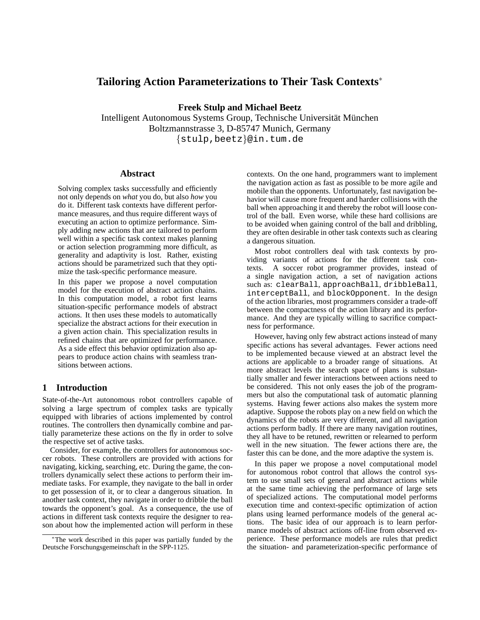# **Tailoring Action Parameterizations to Their Task Contexts**<sup>∗</sup>

**Freek Stulp and Michael Beetz**

Intelligent Autonomous Systems Group, Technische Universität München Boltzmannstrasse 3, D-85747 Munich, Germany {stulp,beetz}@in.tum.de

### **Abstract**

Solving complex tasks successfully and efficiently not only depends on *what* you do, but also *how* you do it. Different task contexts have different performance measures, and thus require different ways of executing an action to optimize performance. Simply adding new actions that are tailored to perform well within a specific task context makes planning or action selection programming more difficult, as generality and adaptivity is lost. Rather, existing actions should be parametrized such that they optimize the task-specific performance measure.

In this paper we propose a novel computation model for the execution of abstract action chains. In this computation model, a robot first learns situation-specific performance models of abstract actions. It then uses these models to automatically specialize the abstract actions for their execution in a given action chain. This specialization results in refined chains that are optimized for performance. As a side effect this behavior optimization also appears to produce action chains with seamless transitions between actions.

## **1 Introduction**

State-of-the-Art autonomous robot controllers capable of solving a large spectrum of complex tasks are typically equipped with libraries of actions implemented by control routines. The controllers then dynamically combine and partially parameterize these actions on the fly in order to solve the respective set of active tasks.

Consider, for example, the controllers for autonomous soccer robots. These controllers are provided with actions for navigating, kicking, searching, etc. During the game, the controllers dynamically select these actions to perform their immediate tasks. For example, they navigate to the ball in order to get possession of it, or to clear a dangerous situation. In another task context, they navigate in order to dribble the ball towards the opponent's goal. As a consequence, the use of actions in different task contexts require the designer to reason about how the implemented action will perform in these contexts. On the one hand, programmers want to implement the navigation action as fast as possible to be more agile and mobile than the opponents. Unfortunately, fast navigation behavior will cause more frequent and harder collisions with the ball when approaching it and thereby the robot will loose control of the ball. Even worse, while these hard collisions are to be avoided when gaining control of the ball and dribbling, they are often desirable in other task contexts such as clearing a dangerous situation.

Most robot controllers deal with task contexts by providing variants of actions for the different task contexts. A soccer robot programmer provides, instead of a single navigation action, a set of navigation actions such as: clearBall, approachBall, dribbleBall, interceptBall, and blockOpponent. In the design of the action libraries, most programmers consider a trade-off between the compactness of the action library and its performance. And they are typically willing to sacrifice compactness for performance.

However, having only few abstract actions instead of many specific actions has several advantages. Fewer actions need to be implemented because viewed at an abstract level the actions are applicable to a broader range of situations. At more abstract levels the search space of plans is substantially smaller and fewer interactions between actions need to be considered. This not only eases the job of the programmers but also the computational task of automatic planning systems. Having fewer actions also makes the system more adaptive. Suppose the robots play on a new field on which the dynamics of the robots are very different, and all navigation actions perform badly. If there are many navigation routines, they all have to be retuned, rewritten or relearned to perform well in the new situation. The fewer actions there are, the faster this can be done, and the more adaptive the system is.

In this paper we propose a novel computational model for autonomous robot control that allows the control system to use small sets of general and abstract actions while at the same time achieving the performance of large sets of specialized actions. The computational model performs execution time and context-specific optimization of action plans using learned performance models of the general actions. The basic idea of our approach is to learn performance models of abstract actions off-line from observed experience. These performance models are rules that predict the situation- and parameterization-specific performance of

<sup>∗</sup>The work described in this paper was partially funded by the Deutsche Forschungsgemeinschaft in the SPP-1125.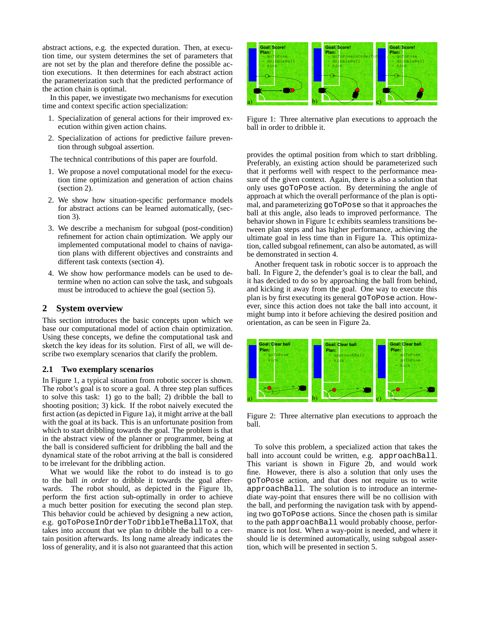abstract actions, e.g. the expected duration. Then, at execution time, our system determines the set of parameters that are not set by the plan and therefore define the possible action executions. It then determines for each abstract action the parameterization such that the predicted performance of the action chain is optimal.

In this paper, we investigate two mechanisms for execution time and context specific action specialization:

- 1. Specialization of general actions for their improved execution within given action chains.
- 2. Specialization of actions for predictive failure prevention through subgoal assertion.

The technical contributions of this paper are fourfold.

- 1. We propose a novel computational model for the execution time optimization and generation of action chains (section 2).
- 2. We show how situation-specific performance models for abstract actions can be learned automatically, (section 3).
- 3. We describe a mechanism for subgoal (post-condition) refinement for action chain optimization. We apply our implemented computational model to chains of navigation plans with different objectives and constraints and different task contexts (section 4).
- 4. We show how performance models can be used to determine when no action can solve the task, and subgoals must be introduced to achieve the goal (section 5).

## **2 System overview**

This section introduces the basic concepts upon which we base our computational model of action chain optimization. Using these concepts, we define the computational task and sketch the key ideas for its solution. First of all, we will describe two exemplary scenarios that clarify the problem.

#### **2.1 Two exemplary scenarios**

In Figure 1, a typical situation from robotic soccer is shown. The robot's goal is to score a goal. A three step plan suffices to solve this task: 1) go to the ball; 2) dribble the ball to shooting position; 3) kick. If the robot naively executed the first action (as depicted in Figure 1a), it might arrive at the ball with the goal at its back. This is an unfortunate position from which to start dribbling towards the goal. The problem is that in the abstract view of the planner or programmer, being at the ball is considered sufficient for dribbling the ball and the dynamical state of the robot arriving at the ball is considered to be irrelevant for the dribbling action.

What we would like the robot to do instead is to go to the ball *in order* to dribble it towards the goal afterwards. The robot should, as depicted in the Figure 1b, perform the first action sub-optimally in order to achieve a much better position for executing the second plan step. This behavior could be achieved by designing a new action, e.g. goToPoseInOrderToDribbleTheBallToX, that takes into account that we plan to dribble the ball to a certain position afterwards. Its long name already indicates the loss of generality, and it is also not guaranteed that this action



Figure 1: Three alternative plan executions to approach the ball in order to dribble it.

provides the optimal position from which to start dribbling. Preferably, an existing action should be parameterized such that it performs well with respect to the performance measure of the given context. Again, there is also a solution that only uses goToPose action. By determining the angle of approach at which the overall performance of the plan is optimal, and parameterizing goToPose so that it approaches the ball at this angle, also leads to improved performance. The behavior shown in Figure 1c exhibits seamless transitions between plan steps and has higher performance, achieving the ultimate goal in less time than in Figure 1a. This optimization, called subgoal refinement, can also be automated, as will be demonstrated in section 4.

Another frequent task in robotic soccer is to approach the ball. In Figure 2, the defender's goal is to clear the ball, and it has decided to do so by approaching the ball from behind, and kicking it away from the goal. One way to execute this plan is by first executing its general goToPose action. However, since this action does not take the ball into account, it might bump into it before achieving the desired position and orientation, as can be seen in Figure 2a.



Figure 2: Three alternative plan executions to approach the ball.

To solve this problem, a specialized action that takes the ball into account could be written, e.g. approachBall. This variant is shown in Figure 2b, and would work fine. However, there is also a solution that only uses the goToPose action, and that does not require us to write approachBall. The solution is to introduce an intermediate way-point that ensures there will be no collision with the ball, and performing the navigation task with by appending two goToPose actions. Since the chosen path is similar to the path approachBall would probably choose, performance is not lost. When a way-point is needed, and where it should lie is determined automatically, using subgoal assertion, which will be presented in section 5.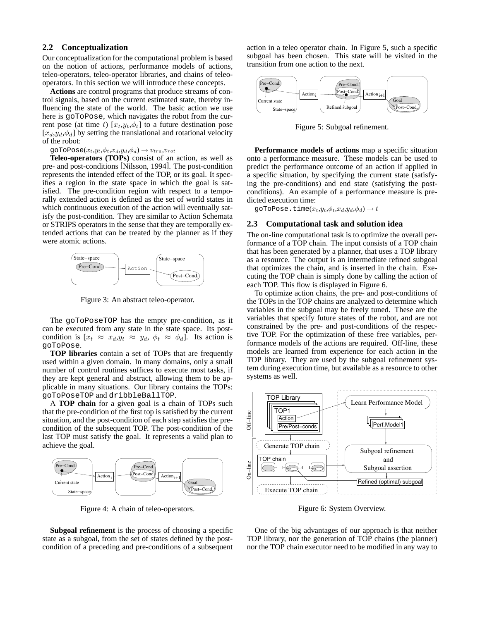### **2.2 Conceptualization**

Our conceptualization for the computational problem is based on the notion of actions, performance models of actions, teleo-operators, teleo-operator libraries, and chains of teleooperators. In this section we will introduce these concepts.

**Actions** are control programs that produce streams of control signals, based on the current estimated state, thereby influencing the state of the world. The basic action we use here is goToPose, which navigates the robot from the current pose (at time t)  $[x_t, y_t, \phi_t]$  to a future destination pose  $[x_d,y_d,\phi_d]$  by setting the translational and rotational velocity of the robot:

goToPose $(x_t,y_t,\phi_t,x_d,y_d,\phi_d) \rightarrow v_{tra},v_{rot}$ 

**Teleo-operators (TOPs)** consist of an action, as well as pre- and post-conditions [Nilsson, 1994]. The post-condition represents the intended effect of the TOP, or its goal. It specifies a region in the state space in which the goal is satisfied. The pre-condition region with respect to a temporally extended action is defined as the set of world states in which continuous execution of the action will eventually satisfy the post-condition. They are similar to Action Schemata or STRIPS operators in the sense that they are temporally extended actions that can be treated by the planner as if they were atomic actions.



Figure 3: An abstract teleo-operator.

The goToPoseTOP has the empty pre-condition, as it can be executed from any state in the state space. Its postcondition is  $[x_t \approx x_d, y_t \approx y_d, \phi_t \approx \phi_d]$ . Its action is goToPose.

**TOP libraries** contain a set of TOPs that are frequently used within a given domain. In many domains, only a small number of control routines suffices to execute most tasks, if they are kept general and abstract, allowing them to be applicable in many situations. Our library contains the TOPs: goToPoseTOP and dribbleBallTOP.

A **TOP chain** for a given goal is a chain of TOPs such that the pre-condition of the first top is satisfied by the current situation, and the post-condition of each step satisfies the precondition of the subsequent TOP. The post-condition of the last TOP must satisfy the goal. It represents a valid plan to achieve the goal.



Figure 4: A chain of teleo-operators.

**Subgoal refinement** is the process of choosing a specific state as a subgoal, from the set of states defined by the postcondition of a preceding and pre-conditions of a subsequent action in a teleo operator chain. In Figure 5, such a specific subgoal has been chosen. This state will be visited in the transition from one action to the next.



Figure 5: Subgoal refinement.

**Performance models of actions** map a specific situation onto a performance measure. These models can be used to predict the performance outcome of an action if applied in a specific situation, by specifying the current state (satisfying the pre-conditions) and end state (satisfying the postconditions). An example of a performance measure is predicted execution time:

goToPose.time $(x_t,y_t,\phi_t,x_d,y_d,\phi_d)\rightarrow t$ 

### **2.3 Computational task and solution idea**

The on-line computational task is to optimize the overall performance of a TOP chain. The input consists of a TOP chain that has been generated by a planner, that uses a TOP library as a resource. The output is an intermediate refined subgoal that optimizes the chain, and is inserted in the chain. Executing the TOP chain is simply done by calling the action of each TOP. This flow is displayed in Figure 6.

To optimize action chains, the pre- and post-conditions of the TOPs in the TOP chains are analyzed to determine which variables in the subgoal may be freely tuned. These are the variables that specify future states of the robot, and are not constrained by the pre- and post-conditions of the respective TOP. For the optimization of these free variables, performance models of the actions are required. Off-line, these models are learned from experience for each action in the TOP library. They are used by the subgoal refinement system during execution time, but available as a resource to other systems as well.



Figure 6: System Overview.

One of the big advantages of our approach is that neither TOP library, nor the generation of TOP chains (the planner) nor the TOP chain executor need to be modified in any way to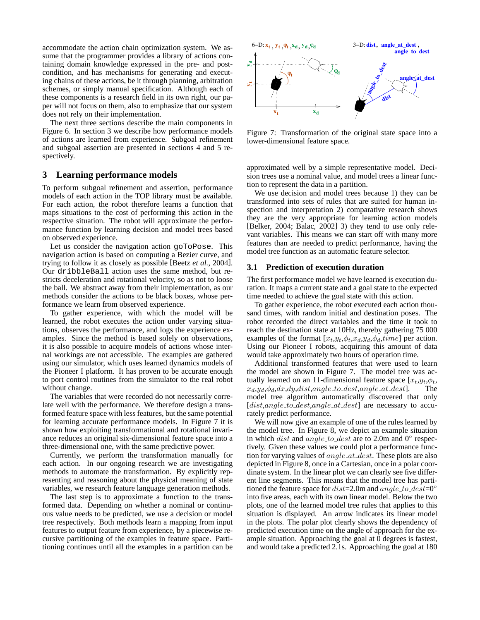accommodate the action chain optimization system. We assume that the programmer provides a library of actions containing domain knowledge expressed in the pre- and postcondition, and has mechanisms for generating and executing chains of these actions, be it through planning, arbitration schemes, or simply manual specification. Although each of these components is a research field in its own right, our paper will not focus on them, also to emphasize that our system does not rely on their implementation.

The next three sections describe the main components in Figure 6. In section 3 we describe how performance models of actions are learned from experience. Subgoal refinement and subgoal assertion are presented in sections 4 and 5 respectively.

## **3 Learning performance models**

To perform subgoal refinement and assertion, performance models of each action in the TOP library must be available. For each action, the robot therefore learns a function that maps situations to the cost of performing this action in the respective situation. The robot will approximate the performance function by learning decision and model trees based on observed experience.

Let us consider the navigation action goToPose. This navigation action is based on computing a Bezier curve, and trying to follow it as closely as possible [Beetz *et al.*, 2004]. Our dribbleBall action uses the same method, but restricts deceleration and rotational velocity, so as not to loose the ball. We abstract away from their implementation, as our methods consider the actions to be black boxes, whose performance we learn from observed experience.

To gather experience, with which the model will be learned, the robot executes the action under varying situations, observes the performance, and logs the experience examples. Since the method is based solely on observations, it is also possible to acquire models of actions whose internal workings are not accessible. The examples are gathered using our simulator, which uses learned dynamics models of the Pioneer I platform. It has proven to be accurate enough to port control routines from the simulator to the real robot without change.

The variables that were recorded do not necessarily correlate well with the performance. We therefore design a transformed feature space with less features, but the same potential for learning accurate performance models. In Figure 7 it is shown how exploiting transformational and rotational invariance reduces an original six-dimensional feature space into a three-dimensional one, with the same predictive power.

Currently, we perform the transformation manually for each action. In our ongoing research we are investigating methods to automate the transformation. By explicitly representing and reasoning about the physical meaning of state variables, we research feature language generation methods.

The last step is to approximate a function to the transformed data. Depending on whether a nominal or continuous value needs to be predicted, we use a decision or model tree respectively. Both methods learn a mapping from input features to output feature from experience, by a piecewise recursive partitioning of the examples in feature space. Partitioning continues until all the examples in a partition can be



Figure 7: Transformation of the original state space into a lower-dimensional feature space.

approximated well by a simple representative model. Decision trees use a nominal value, and model trees a linear function to represent the data in a partition.

We use decision and model trees because 1) they can be transformed into sets of rules that are suited for human inspection and interpretation 2) comparative research shows they are the very appropriate for learning action models [Belker, 2004; Balac, 2002] 3) they tend to use only relevant variables. This means we can start off with many more features than are needed to predict performance, having the model tree function as an automatic feature selector.

#### **3.1 Prediction of execution duration**

The first performance model we have learned is execution duration. It maps a current state and a goal state to the expected time needed to achieve the goal state with this action.

To gather experience, the robot executed each action thousand times, with random initial and destination poses. The robot recorded the direct variables and the time it took to reach the destination state at 10Hz, thereby gathering 75 000 examples of the format  $[x_t,y_t,\phi_t,x_d,y_d,\phi_d,time]$  per action. Using our Pioneer I robots, acquiring this amount of data would take approximately two hours of operation time.

Additional transformed features that were used to learn the model are shown in Figure 7. The model tree was actually learned on an 11-dimensional feature space  $[x_t,y_t,\phi_t,$  $x_d, y_d, \phi_d, dx, dy, dist, angle_to_dest, angle_at_dest].$  The model tree algorithm automatically discovered that only  $[dist, angle_to_dest, angle_at_dest]$  are necessary to accurately predict performance.

We will now give an example of one of the rules learned by the model tree. In Figure 8, we depict an example situation in which dist and angle\_to\_dest are to 2.0m and  $0^{\circ}$  respectively. Given these values we could plot a performance function for varying values of angle\_at\_dest. These plots are also depicted in Figure 8, once in a Cartesian, once in a polar coordinate system. In the linear plot we can clearly see five different line segments. This means that the model tree has partitioned the feature space for  $dist=2.0$ m and  $angle\_to\_dest=0°$ into five areas, each with its own linear model. Below the two plots, one of the learned model tree rules that applies to this situation is displayed. An arrow indicates its linear model in the plots. The polar plot clearly shows the dependency of predicted execution time on the angle of approach for the example situation. Approaching the goal at 0 degrees is fastest, and would take a predicted 2.1s. Approaching the goal at 180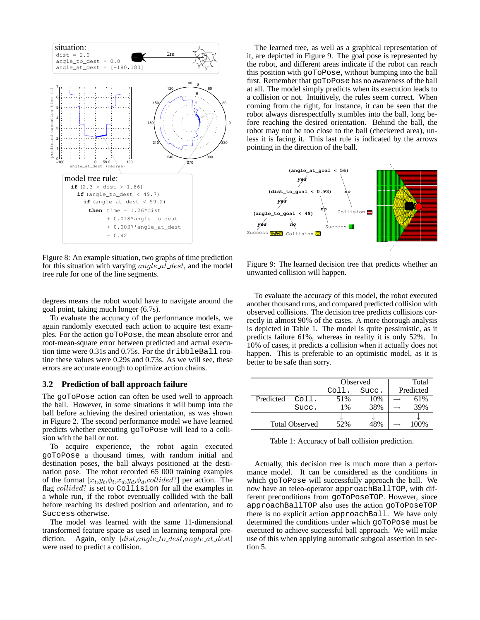

Figure 8: An example situation, two graphs of time prediction for this situation with varying  $angle\_at\_dest$ , and the model tree rule for one of the line segments.

degrees means the robot would have to navigate around the goal point, taking much longer (6.7s).

To evaluate the accuracy of the performance models, we again randomly executed each action to acquire test examples. For the action goToPose, the mean absolute error and root-mean-square error between predicted and actual execution time were 0.31s and 0.75s. For the dribbleBall routine these values were 0.29s and 0.73s. As we will see, these errors are accurate enough to optimize action chains.

#### **3.2 Prediction of ball approach failure**

The goToPose action can often be used well to approach the ball. However, in some situations it will bump into the ball before achieving the desired orientation, as was shown in Figure 2. The second performance model we have learned predicts whether executing goToPose will lead to a collision with the ball or not.

To acquire experience, the robot again executed goToPose a thousand times, with random initial and destination poses, the ball always positioned at the destination pose. The robot recorded 65 000 training examples of the format  $[x_t,y_t,\phi_t,x_d,y_d,\phi_d,collided?]$  per action. The flag collided? is set to Collision for all the examples in a whole run, if the robot eventually collided with the ball before reaching its desired position and orientation, and to Success otherwise.

The model was learned with the same 11-dimensional transformed feature space as used in learning temporal prediction. Again, only [dist,angle\_to\_dest,angle\_at\_dest] were used to predict a collision.

The learned tree, as well as a graphical representation of it, are depicted in Figure 9. The goal pose is represented by the robot, and different areas indicate if the robot can reach this position with goToPose, without bumping into the ball first. Remember that goToPose has no awareness of the ball at all. The model simply predicts when its execution leads to a collision or not. Intuitively, the rules seem correct. When coming from the right, for instance, it can be seen that the robot always disrespectfully stumbles into the ball, long before reaching the desired orientation. Behind the ball, the robot may not be too close to the ball (checkered area), unless it is facing it. This last rule is indicated by the arrows pointing in the direction of the ball.



Figure 9: The learned decision tree that predicts whether an unwanted collision will happen.

To evaluate the accuracy of this model, the robot executed another thousand runs, and compared predicted collision with observed collisions. The decision tree predicts collisions correctly in almost 90% of the cases. A more thorough analysis is depicted in Table 1. The model is quite pessimistic, as it predicts failure 61%, whereas in reality it is only 52%. In 10% of cases, it predicts a collision when it actually does not happen. This is preferable to an optimistic model, as it is better to be safe than sorry.

|                       |       | Observed |       | Total     |
|-----------------------|-------|----------|-------|-----------|
|                       |       | Coll.    | Succ. | Predicted |
| Predicted             | Coll. | 51%      | 10%   | 61%       |
|                       | Succ. | $1\%$    | 38%   | 39%       |
|                       |       |          |       |           |
| <b>Total Observed</b> |       | 52%      | 48%   | 10%       |

Table 1: Accuracy of ball collision prediction.

Actually, this decision tree is much more than a performance model. It can be considered as the conditions in which goToPose will successfully approach the ball. We now have an teleo-operator approachBallTOP, with different preconditions from goToPoseTOP. However, since approachBallTOP also uses the action goToPoseTOP there is no explicit action approachBall. We have only determined the conditions under which goToPose must be executed to achieve successful ball approach. We will make use of this when applying automatic subgoal assertion in section 5.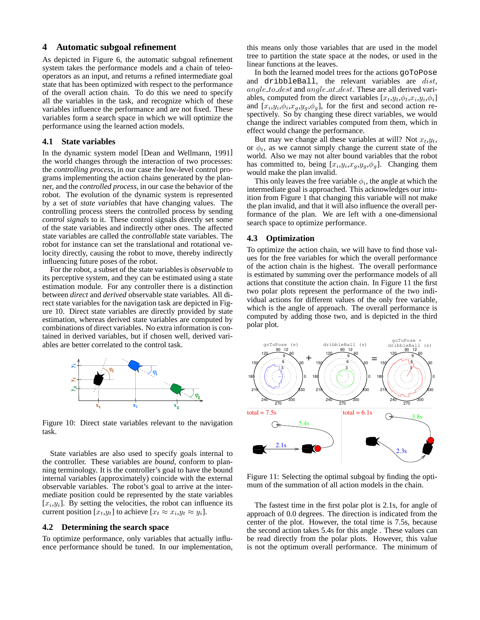## **4 Automatic subgoal refinement**

As depicted in Figure 6, the automatic subgoal refinement system takes the performance models and a chain of teleooperators as an input, and returns a refined intermediate goal state that has been optimized with respect to the performance of the overall action chain. To do this we need to specify all the variables in the task, and recognize which of these variables influence the performance and are not fixed. These variables form a search space in which we will optimize the performance using the learned action models.

#### **4.1 State variables**

In the dynamic system model [Dean and Wellmann, 1991] the world changes through the interaction of two processes: the *controlling process*, in our case the low-level control programs implementing the action chains generated by the planner, and the *controlled process*, in our case the behavior of the robot. The evolution of the dynamic system is represented by a set of *state variables* that have changing values. The controlling process steers the controlled process by sending *control signals* to it. These control signals directly set some of the state variables and indirectly other ones. The affected state variables are called the *controllable* state variables. The robot for instance can set the translational and rotational velocity directly, causing the robot to move, thereby indirectly influencing future poses of the robot.

For the robot, a subset of the state variables is *observable* to its perceptive system, and they can be estimated using a state estimation module. For any controller there is a distinction between *direct* and *derived* observable state variables. All direct state variables for the navigation task are depicted in Figure 10. Direct state variables are directly provided by state estimation, whereas derived state variables are computed by combinations of direct variables. No extra information is contained in derived variables, but if chosen well, derived variables are better correlated to the control task.



Figure 10: Direct state variables relevant to the navigation task.

State variables are also used to specify goals internal to the controller. These variables are *bound*, conform to planning terminology. It is the controller's goal to have the bound internal variables (approximately) coincide with the external observable variables. The robot's goal to arrive at the intermediate position could be represented by the state variables  $[x_i, y_i]$ . By setting the velocities, the robot can influence its current position  $[x_t, y_t]$  to achieve  $[x_t \approx x_i, y_t \approx y_i]$ .

#### **4.2 Determining the search space**

To optimize performance, only variables that actually influence performance should be tuned. In our implementation, this means only those variables that are used in the model tree to partition the state space at the nodes, or used in the linear functions at the leaves.

In both the learned model trees for the actions goToPose and dribbleBall, the relevant variables are dist, angle\_to\_dest and angle\_at\_dest. These are all derived variables, computed from the direct variables  $[x_t, y_t, \phi_t, x_i, y_i, \phi_i]$ and  $[x_i,y_i,\phi_i,x_g,y_g,\phi_g]$ , for the first and second action respectively. So by changing these direct variables, we would change the indirect variables computed from them, which in effect would change the performance.

But may we change all these variables at will? Not  $x_t, y_t$ , or  $\phi_t$ , as we cannot simply change the current state of the world. Also we may not alter bound variables that the robot has committed to, being  $[x_i,y_i,x_g,y_g,\phi_g]$ . Changing them would make the plan invalid.

This only leaves the free variable  $\phi_i$ , the angle at which the intermediate goal is approached. This acknowledges our intuition from Figure 1 that changing this variable will not make the plan invalid, and that it will also influence the overall performance of the plan. We are left with a one-dimensional search space to optimize performance.

### **4.3 Optimization**

To optimize the action chain, we will have to find those values for the free variables for which the overall performance of the action chain is the highest. The overall performance is estimated by summing over the performance models of all actions that constitute the action chain. In Figure 11 the first two polar plots represent the performance of the two individual actions for different values of the only free variable, which is the angle of approach. The overall performance is computed by adding those two, and is depicted in the third polar plot.



Figure 11: Selecting the optimal subgoal by finding the optimum of the summation of all action models in the chain.

The fastest time in the first polar plot is 2.1s, for angle of approach of 0.0 degrees. The direction is indicated from the center of the plot. However, the total time is 7.5s, because the second action takes 5.4s for this angle . These values can be read directly from the polar plots. However, this value is not the optimum overall performance. The minimum of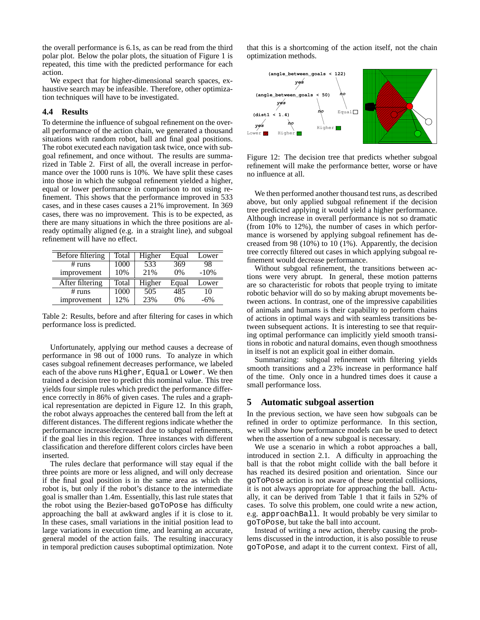the overall performance is 6.1s, as can be read from the third polar plot. Below the polar plots, the situation of Figure 1 is repeated, this time with the predicted performance for each action.

We expect that for higher-dimensional search spaces, exhaustive search may be infeasible. Therefore, other optimization techniques will have to be investigated.

## **4.4 Results**

To determine the influence of subgoal refinement on the overall performance of the action chain, we generated a thousand situations with random robot, ball and final goal positions. The robot executed each navigation task twice, once with subgoal refinement, and once without. The results are summarized in Table 2. First of all, the overall increase in performance over the 1000 runs is 10%. We have split these cases into those in which the subgoal refinement yielded a higher, equal or lower performance in comparison to not using refinement. This shows that the performance improved in 533 cases, and in these cases causes a 21% improvement. In 369 cases, there was no improvement. This is to be expected, as there are many situations in which the three positions are already optimally aligned (e.g. in a straight line), and subgoal refinement will have no effect.

| Before filtering | Total | Higher | Equal | Lower  |
|------------------|-------|--------|-------|--------|
| # runs           | 1000  | 533    | 369   | 98     |
| improvement      | 10%   | 21%    | 0%    | $-10%$ |
| After filtering  | Total | Higher | Equal | Lower  |
|                  |       |        |       |        |
| # runs           | 1000  | 505    | 485   | 10     |

Table 2: Results, before and after filtering for cases in which performance loss is predicted.

Unfortunately, applying our method causes a decrease of performance in 98 out of 1000 runs. To analyze in which cases subgoal refinement decreases performance, we labeled each of the above runs Higher, Equal or Lower. We then trained a decision tree to predict this nominal value. This tree yields four simple rules which predict the performance difference correctly in 86% of given cases. The rules and a graphical representation are depicted in Figure 12. In this graph, the robot always approaches the centered ball from the left at different distances. The different regions indicate whether the performance increase/decreased due to subgoal refinements, if the goal lies in this region. Three instances with different classification and therefore different colors circles have been inserted.

The rules declare that performance will stay equal if the three points are more or less aligned, and will only decrease if the final goal position is in the same area as which the robot is, but only if the robot's distance to the intermediate goal is smaller than 1.4m. Essentially, this last rule states that the robot using the Bezier-based goToPose has difficulty approaching the ball at awkward angles if it is close to it. In these cases, small variations in the initial position lead to large variations in execution time, and learning an accurate, general model of the action fails. The resulting inaccuracy in temporal prediction causes suboptimal optimization. Note

that this is a shortcoming of the action itself, not the chain optimization methods.



Figure 12: The decision tree that predicts whether subgoal refinement will make the performance better, worse or have no influence at all.

We then performed another thousand test runs, as described above, but only applied subgoal refinement if the decision tree predicted applying it would yield a higher performance. Although increase in overall performance is not so dramatic (from 10% to 12%), the number of cases in which performance is worsened by applying subgoal refinement has decreased from 98 (10%) to 10 (1%). Apparently, the decision tree correctly filtered out cases in which applying subgoal refinement would decrease performance.

Without subgoal refinement, the transitions between actions were very abrupt. In general, these motion patterns are so characteristic for robots that people trying to imitate robotic behavior will do so by making abrupt movements between actions. In contrast, one of the impressive capabilities of animals and humans is their capability to perform chains of actions in optimal ways and with seamless transitions between subsequent actions. It is interesting to see that requiring optimal performance can implicitly yield smooth transitions in robotic and natural domains, even though smoothness in itself is not an explicit goal in either domain.

Summarizing: subgoal refinement with filtering yields smooth transitions and a 23% increase in performance half of the time. Only once in a hundred times does it cause a small performance loss.

## **5 Automatic subgoal assertion**

In the previous section, we have seen how subgoals can be refined in order to optimize performance. In this section, we will show how performance models can be used to detect when the assertion of a new subgoal is necessary.

We use a scenario in which a robot approaches a ball, introduced in section 2.1. A difficulty in approaching the ball is that the robot might collide with the ball before it has reached its desired position and orientation. Since our goToPose action is not aware of these potential collisions, it is not always appropriate for approaching the ball. Actually, it can be derived from Table 1 that it fails in 52% of cases. To solve this problem, one could write a new action, e.g. approachBall. It would probably be very similar to goToPose, but take the ball into account.

Instead of writing a new action, thereby causing the problems discussed in the introduction, it is also possible to reuse goToPose, and adapt it to the current context. First of all,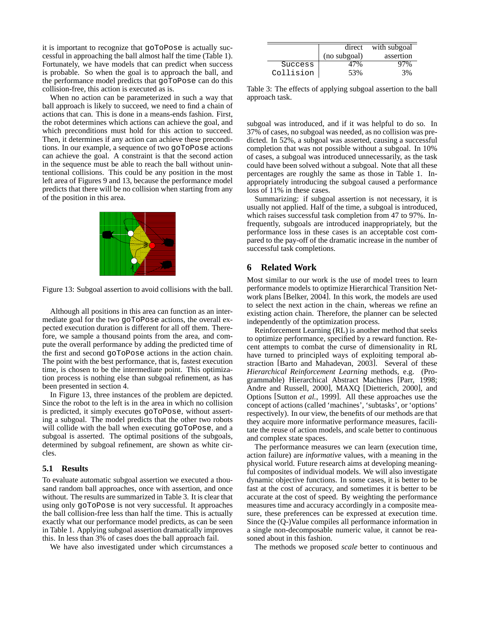it is important to recognize that goToPose is actually successful in approaching the ball almost half the time (Table 1). Fortunately, we have models that can predict when success is probable. So when the goal is to approach the ball, and the performance model predicts that goToPose can do this collision-free, this action is executed as is.

When no action can be parameterized in such a way that ball approach is likely to succeed, we need to find a chain of actions that can. This is done in a means-ends fashion. First, the robot determines which actions can achieve the goal, and which preconditions must hold for this action to succeed. Then, it determines if any action can achieve these preconditions. In our example, a sequence of two goToPose actions can achieve the goal. A constraint is that the second action in the sequence must be able to reach the ball without unintentional collisions. This could be any position in the most left area of Figures 9 and 13, because the performance model predicts that there will be no collision when starting from any of the position in this area.



Figure 13: Subgoal assertion to avoid collisions with the ball.

Although all positions in this area can function as an intermediate goal for the two goToPose actions, the overall expected execution duration is different for all off them. Therefore, we sample a thousand points from the area, and compute the overall performance by adding the predicted time of the first and second goToPose actions in the action chain. The point with the best performance, that is, fastest execution time, is chosen to be the intermediate point. This optimization process is nothing else than subgoal refinement, as has been presented in section 4.

In Figure 13, three instances of the problem are depicted. Since the robot to the left is in the area in which no collision is predicted, it simply executes goToPose, without asserting a subgoal. The model predicts that the other two robots will collide with the ball when executing goToPose, and a subgoal is asserted. The optimal positions of the subgoals, determined by subgoal refinement, are shown as white circles.

### **5.1 Results**

To evaluate automatic subgoal assertion we executed a thousand random ball approaches, once with assertion, and once without. The results are summarized in Table 3. It is clear that using only goToPose is not very successful. It approaches the ball collision-free less than half the time. This is actually exactly what our performance model predicts, as can be seen in Table 1. Applying subgoal assertion dramatically improves this. In less than 3% of cases does the ball approach fail.

We have also investigated under which circumstances a

|           | direct       | with subgoal |
|-----------|--------------|--------------|
|           | (no subgoal) | assertion    |
| Success   | 47%          | 97%          |
| Collision | 53%          | 3%           |

Table 3: The effects of applying subgoal assertion to the ball approach task.

subgoal was introduced, and if it was helpful to do so. In 37% of cases, no subgoal was needed, as no collision was predicted. In 52%, a subgoal was asserted, causing a successful completion that was not possible without a subgoal. In 10% of cases, a subgoal was introduced unnecessarily, as the task could have been solved without a subgoal. Note that all these percentages are roughly the same as those in Table 1. Inappropriately introducing the subgoal caused a performance loss of 11% in these cases.

which rais<br>frequently<br>performan<br>pared to the<br>successful<br>**6** Rela Which raise<br>frequently,<br>performance<br>pared to the<br>successful t which raises<br>frequently, superformance<br>pared to the p<br>successful tas<br>6 Related which raises st<br>frequently, sub-<br>performance lo<br>pared to the pa<br>successful task<br>6 Related successful task completions. **Partially 1** and to the pay-off of the dramatic increase in the number of **PERTITE:** performance loss in these cases is an acceptable cost com**frequently, subgoals are introduced inappropriately, but the same intervalse of the same introduced inappropriately, but the NEXCESS** Which raises successful task completion from 47 to 97%. In-Summarizing: if subgoal assertion is not necessary, it is usually not applied. Half of the time, a subgoal is introduced,

## **6 Related Work**

Most similar to our work is the use of model trees to learn performance models to optimize Hierarchical Transition Network plans [Belker, 2004]. In this work, the models are used to select the next action in the chain, whereas we refine an existing action chain. Therefore, the planner can be selected independently of the optimization process.

Reinforcement Learning (RL) is another method that seeks to optimize performance, specified by a reward function. Recent attempts to combat the curse of dimensionality in RL have turned to principled ways of exploiting temporal abstraction [Barto and Mahadevan, 2003]. Several of these *Hierarchical Reinforcement Learning* methods, e.g. (Programmable) Hierarchical Abstract Machines [Parr, 1998; Andre and Russell, 2000], MAXQ [Dietterich, 2000], and Options [Sutton *et al.*, 1999]. All these approaches use the concept of actions (called 'machines', 'subtasks', or 'options' respectively). In our view, the benefits of our methods are that they acquire more informative performance measures, facilitate the reuse of action models, and scale better to continuous and complex state spaces.

The performance measures we can learn (execution time, action failure) are *informative* values, with a meaning in the physical world. Future research aims at developing meaningful composites of individual models. We will also investigate dynamic objective functions. In some cases, it is better to be fast at the cost of accuracy, and sometimes it is better to be accurate at the cost of speed. By weighting the performance measures time and accuracy accordingly in a composite measure, these preferences can be expressed at execution time. Since the (Q-)Value compiles all performance information in a single non-decomposable numeric value, it cannot be reasoned about in this fashion.

The methods we proposed *scale* better to continuous and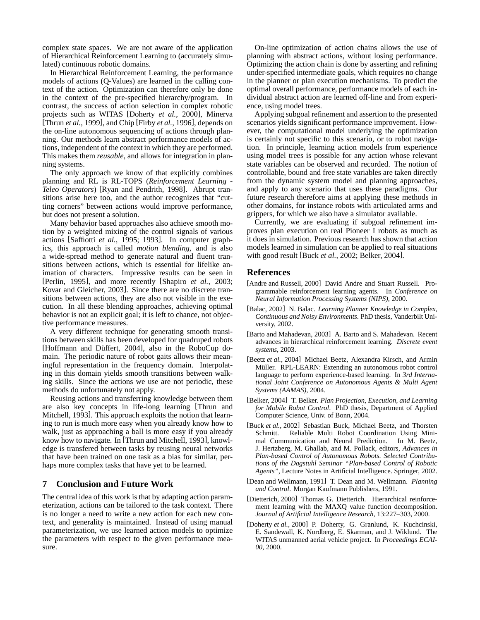complex state spaces. We are not aware of the application of Hierarchical Reinforcement Learning to (accurately simulated) continuous robotic domains.

In Hierarchical Reinforcement Learning, the performance models of actions (Q-Values) are learned in the calling context of the action. Optimization can therefore only be done in the context of the pre-specified hierarchy/program. In contrast, the success of action selection in complex robotic projects such as WITAS [Doherty *et al.*, 2000], Minerva [Thrun *et al.*, 1999], and Chip [Firby *et al.*, 1996], depends on the on-line autonomous sequencing of actions through planning. Our methods learn abstract performance models of actions, independent of the context in which they are performed. This makes them *reusable*, and allows for integration in planning systems.

The only approach we know of that explicitly combines planning and RL is RL-TOPS (*Reinforcement Learning - Teleo Operators*) [Ryan and Pendrith, 1998]. Abrupt transitions arise here too, and the author recognizes that "cutting corners" between actions would improve performance, but does not present a solution.

Many behavior based approaches also achieve smooth motion by a weighted mixing of the control signals of various actions [Saffiotti *et al.*, 1995; 1993]. In computer graphics, this approach is called *motion blending*, and is also a wide-spread method to generate natural and fluent transitions between actions, which is essential for lifelike animation of characters. Impressive results can be seen in [Perlin, 1995], and more recently [Shapiro *et al.*, 2003; Kovar and Gleicher, 2003]. Since there are no discrete transitions between actions, they are also not visible in the execution. In all these blending approaches, achieving optimal behavior is not an explicit goal; it is left to chance, not objective performance measures.

A very different technique for generating smooth transitions between skills has been developed for quadruped robots [Hoffmann and Düffert, 2004], also in the RoboCup domain. The periodic nature of robot gaits allows their meaningful representation in the frequency domain. Interpolating in this domain yields smooth transitions between walking skills. Since the actions we use are not periodic, these methods do unfortunately not apply.

Reusing actions and transferring knowledge between them are also key concepts in life-long learning [Thrun and Mitchell, 1993]. This approach exploits the notion that learning to run is much more easy when you already know how to walk, just as approaching a ball is more easy if you already know how to navigate. In [Thrun and Mitchell, 1993], knowledge is transfered between tasks by reusing neural networks that have been trained on one task as a bias for similar, perhaps more complex tasks that have yet to be learned.

## **7 Conclusion and Future Work**

The central idea of this work is that by adapting action parameterization, actions can be tailored to the task context. There is no longer a need to write a new action for each new context, and generality is maintained. Instead of using manual parameterization, we use learned action models to optimize the parameters with respect to the given performance measure.

On-line optimization of action chains allows the use of planning with abstract actions, without losing performance. Optimizing the action chain is done by asserting and refining under-specified intermediate goals, which requires no change in the planner or plan execution mechanisms. To predict the optimal overall performance, performance models of each individual abstract action are learned off-line and from experience, using model trees.

Applying subgoal refinement and assertion to the presented scenarios yields significant performance improvement. However, the computational model underlying the optimization is certainly not specific to this scenario, or to robot navigation. In principle, learning action models from experience using model trees is possible for any action whose relevant state variables can be observed and recorded. The notion of controllable, bound and free state variables are taken directly from the dynamic system model and planning approaches, and apply to any scenario that uses these paradigms. Our future research therefore aims at applying these methods in other domains, for instance robots with articulated arms and grippers, for which we also have a simulator available.

Currently, we are evaluating if subgoal refinement improves plan execution on real Pioneer I robots as much as it does in simulation. Previous research has shown that action models learned in simulation can be applied to real situations with good result [Buck *et al.*, 2002; Belker, 2004].

### **References**

- [Andre and Russell, 2000] David Andre and Stuart Russell. Programmable reinforcement learning agents. In *Conference on Neural Information Processing Systems (NIPS)*, 2000.
- [Balac, 2002] N. Balac. *Learning Planner Knowledge in Complex, Continuous and Noisy Environments*. PhD thesis, Vanderbilt University, 2002.
- [Barto and Mahadevan, 2003] A. Barto and S. Mahadevan. Recent advances in hierarchical reinforcement learning. *Discrete event systems*, 2003.
- [Beetz *et al.*, 2004] Michael Beetz, Alexandra Kirsch, and Armin Müller. RPL-LEARN: Extending an autonomous robot control language to perform experience-based learning. In *3rd International Joint Conference on Autonomous Agents & Multi Agent Systems (AAMAS)*, 2004.
- [Belker, 2004] T. Belker. *Plan Projection, Execution, and Learning for Mobile Robot Control*. PhD thesis, Department of Applied Computer Science, Univ. of Bonn, 2004.
- [Buck *et al.*, 2002] Sebastian Buck, Michael Beetz, and Thorsten Schmitt. Reliable Multi Robot Coordination Using Minimal Communication and Neural Prediction. In M. Beetz, J. Hertzberg, M. Ghallab, and M. Pollack, editors, *Advances in Plan-based Control of Autonomous Robots. Selected Contributions of the Dagstuhl Seminar "Plan-based Control of Robotic Agents"*, Lecture Notes in Artificial Intelligence. Springer, 2002.
- [Dean and Wellmann, 1991] T. Dean and M. Wellmann. *Planning and Control*. Morgan Kaufmann Publishers, 1991.
- [Dietterich, 2000] Thomas G. Dietterich. Hierarchical reinforcement learning with the MAXQ value function decomposition. *Journal of Artificial Intelligence Research*, 13:227–303, 2000.
- [Doherty *et al.*, 2000] P. Doherty, G. Granlund, K. Kuchcinski, E. Sandewall, K. Nordberg, E. Skarman, and J. Wiklund. The WITAS unmanned aerial vehicle project. In *Proceedings ECAI-00*, 2000.